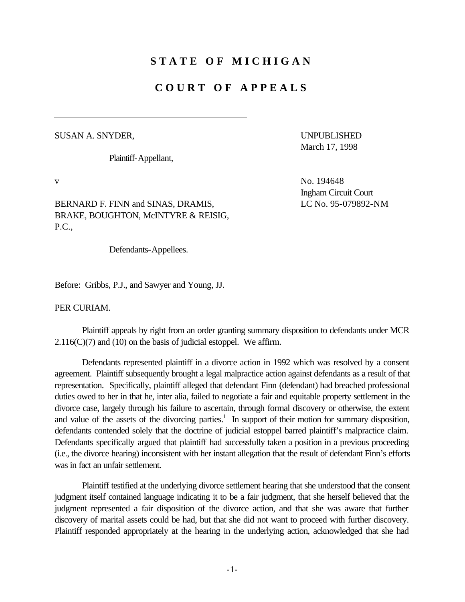## **STATE OF MICHIGAN**

## **COURT OF APPEALS**

## SUSAN A. SNYDER, UNPUBLISHED

Plaintiff-Appellant,

March 17, 1998

BERNARD F. FINN and SINAS, DRAMIS, LE No. 95-079892-NM BRAKE, BOUGHTON, McINTYRE & REISIG, P.C.,

Defendants-Appellees.

Before: Gribbs, P.J., and Sawyer and Young, JJ.

PER CURIAM.

Plaintiff appeals by right from an order granting summary disposition to defendants under MCR  $2.116(C)(7)$  and (10) on the basis of judicial estoppel. We affirm.

Defendants represented plaintiff in a divorce action in 1992 which was resolved by a consent agreement. Plaintiff subsequently brought a legal malpractice action against defendants as a result of that representation. Specifically, plaintiff alleged that defendant Finn (defendant) had breached professional duties owed to her in that he, inter alia, failed to negotiate a fair and equitable property settlement in the divorce case, largely through his failure to ascertain, through formal discovery or otherwise, the extent and value of the assets of the divorcing parties.<sup>1</sup> In support of their motion for summary disposition, defendants contended solely that the doctrine of judicial estoppel barred plaintiff's malpractice claim. Defendants specifically argued that plaintiff had successfully taken a position in a previous proceeding (i.e., the divorce hearing) inconsistent with her instant allegation that the result of defendant Finn's efforts was in fact an unfair settlement.

Plaintiff testified at the underlying divorce settlement hearing that she understood that the consent judgment itself contained language indicating it to be a fair judgment, that she herself believed that the judgment represented a fair disposition of the divorce action, and that she was aware that further discovery of marital assets could be had, but that she did not want to proceed with further discovery. Plaintiff responded appropriately at the hearing in the underlying action, acknowledged that she had

v No. 194648 Ingham Circuit Court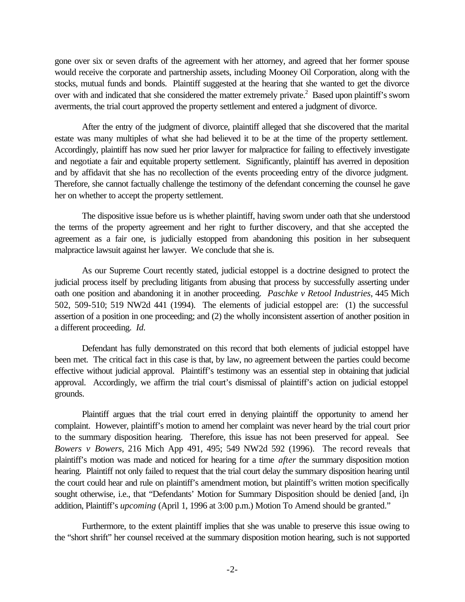gone over six or seven drafts of the agreement with her attorney, and agreed that her former spouse would receive the corporate and partnership assets, including Mooney Oil Corporation, along with the stocks, mutual funds and bonds. Plaintiff suggested at the hearing that she wanted to get the divorce over with and indicated that she considered the matter extremely private.<sup>2</sup> Based upon plaintiff's sworn averments, the trial court approved the property settlement and entered a judgment of divorce.

After the entry of the judgment of divorce, plaintiff alleged that she discovered that the marital estate was many multiples of what she had believed it to be at the time of the property settlement. Accordingly, plaintiff has now sued her prior lawyer for malpractice for failing to effectively investigate and negotiate a fair and equitable property settlement. Significantly, plaintiff has averred in deposition and by affidavit that she has no recollection of the events proceeding entry of the divorce judgment. Therefore, she cannot factually challenge the testimony of the defendant concerning the counsel he gave her on whether to accept the property settlement.

The dispositive issue before us is whether plaintiff, having sworn under oath that she understood the terms of the property agreement and her right to further discovery, and that she accepted the agreement as a fair one, is judicially estopped from abandoning this position in her subsequent malpractice lawsuit against her lawyer. We conclude that she is.

As our Supreme Court recently stated, judicial estoppel is a doctrine designed to protect the judicial process itself by precluding litigants from abusing that process by successfully asserting under oath one position and abandoning it in another proceeding. *Paschke v Retool Industries*, 445 Mich 502, 509-510; 519 NW2d 441 (1994). The elements of judicial estoppel are: (1) the successful assertion of a position in one proceeding; and (2) the wholly inconsistent assertion of another position in a different proceeding. *Id.* 

Defendant has fully demonstrated on this record that both elements of judicial estoppel have been met. The critical fact in this case is that, by law, no agreement between the parties could become effective without judicial approval. Plaintiff's testimony was an essential step in obtaining that judicial approval. Accordingly, we affirm the trial court's dismissal of plaintiff's action on judicial estoppel grounds.

Plaintiff argues that the trial court erred in denying plaintiff the opportunity to amend her complaint. However, plaintiff's motion to amend her complaint was never heard by the trial court prior to the summary disposition hearing. Therefore, this issue has not been preserved for appeal. See *Bowers v Bowers*, 216 Mich App 491, 495; 549 NW2d 592 (1996). The record reveals that plaintiff's motion was made and noticed for hearing for a time *after* the summary disposition motion hearing. Plaintiff not only failed to request that the trial court delay the summary disposition hearing until the court could hear and rule on plaintiff's amendment motion, but plaintiff's written motion specifically sought otherwise, i.e., that "Defendants' Motion for Summary Disposition should be denied [and, i]n addition, Plaintiff's *upcoming* (April 1, 1996 at 3:00 p.m.) Motion To Amend should be granted."

Furthermore, to the extent plaintiff implies that she was unable to preserve this issue owing to the "short shrift" her counsel received at the summary disposition motion hearing, such is not supported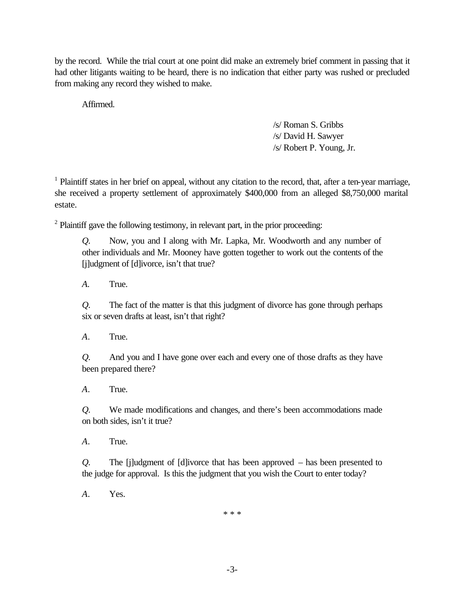by the record. While the trial court at one point did make an extremely brief comment in passing that it had other litigants waiting to be heard, there is no indication that either party was rushed or precluded from making any record they wished to make.

Affirmed.

/s/ Roman S. Gribbs /s/ David H. Sawyer /s/ Robert P. Young, Jr.

<sup>1</sup> Plaintiff states in her brief on appeal, without any citation to the record, that, after a ten-year marriage, she received a property settlement of approximately \$400,000 from an alleged \$8,750,000 marital estate.

 $2$  Plaintiff gave the following testimony, in relevant part, in the prior proceeding:

*Q*. Now, you and I along with Mr. Lapka, Mr. Woodworth and any number of other individuals and Mr. Mooney have gotten together to work out the contents of the [j]udgment of [d]ivorce, isn't that true?

 $\overline{A}$ . *A.* True.

*Q*. The fact of the matter is that this judgment of divorce has gone through perhaps six or seven drafts at least, isn't that right?

 $\mathcal{A}_{\cdot}$ *A*. True.

*Q*. And you and I have gone over each and every one of those drafts as they have been prepared there?

 $\overline{A}$ . *A*. True.

*Q*. We made modifications and changes, and there's been accommodations made on both sides, isn't it true?

 $A_{-}$ *A*. True.

*Q*. The [j]udgment of [d]ivorce that has been approved – has been presented to the judge for approval. Is this the judgment that you wish the Court to enter today?

 $\mathcal{A}_{\cdot}$ *A*. Yes.

\* \* \*